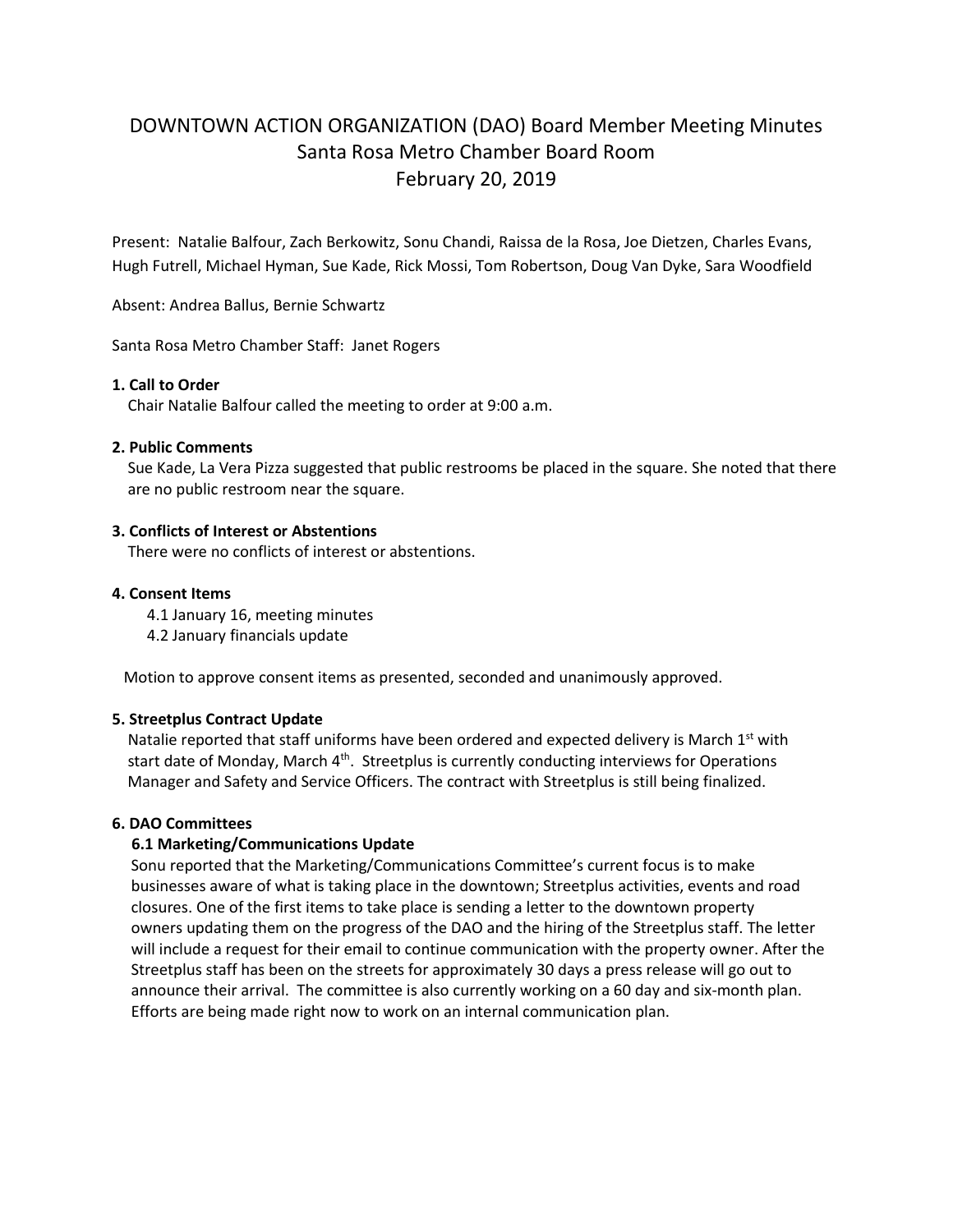# DOWNTOWN ACTION ORGANIZATION (DAO) Board Member Meeting Minutes Santa Rosa Metro Chamber Board Room February 20, 2019

Present: Natalie Balfour, Zach Berkowitz, Sonu Chandi, Raissa de la Rosa, Joe Dietzen, Charles Evans, Hugh Futrell, Michael Hyman, Sue Kade, Rick Mossi, Tom Robertson, Doug Van Dyke, Sara Woodfield

Absent: Andrea Ballus, Bernie Schwartz

Santa Rosa Metro Chamber Staff: Janet Rogers

### **1. Call to Order**

Chair Natalie Balfour called the meeting to order at 9:00 a.m.

### **2. Public Comments**

Sue Kade, La Vera Pizza suggested that public restrooms be placed in the square. She noted that there are no public restroom near the square.

### **3. Conflicts of Interest or Abstentions**

There were no conflicts of interest or abstentions.

### **4. Consent Items**

4.1 January 16, meeting minutes

4.2 January financials update

Motion to approve consent items as presented, seconded and unanimously approved.

## **5. Streetplus Contract Update**

Natalie reported that staff uniforms have been ordered and expected delivery is March 1<sup>st</sup> with start date of Monday, March 4<sup>th</sup>. Streetplus is currently conducting interviews for Operations Manager and Safety and Service Officers. The contract with Streetplus is still being finalized.

## **6. DAO Committees**

## **6.1 Marketing/Communications Update**

Sonu reported that the Marketing/Communications Committee's current focus is to make businesses aware of what is taking place in the downtown; Streetplus activities, events and road closures. One of the first items to take place is sending a letter to the downtown property owners updating them on the progress of the DAO and the hiring of the Streetplus staff. The letter will include a request for their email to continue communication with the property owner. After the Streetplus staff has been on the streets for approximately 30 days a press release will go out to announce their arrival. The committee is also currently working on a 60 day and six-month plan. Efforts are being made right now to work on an internal communication plan.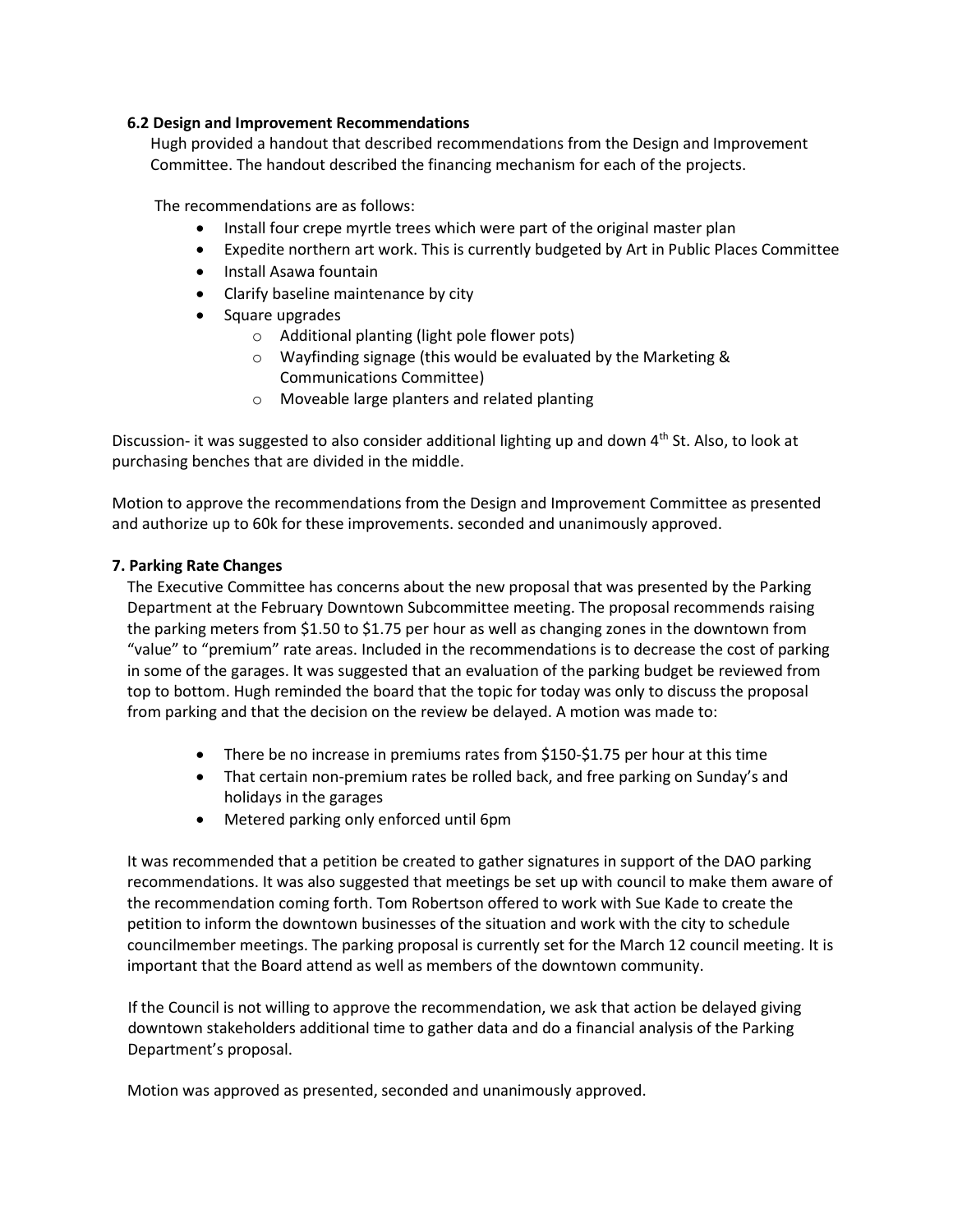## **6.2 Design and Improvement Recommendations**

Hugh provided a handout that described recommendations from the Design and Improvement Committee. The handout described the financing mechanism for each of the projects.

The recommendations are as follows:

- Install four crepe myrtle trees which were part of the original master plan
- Expedite northern art work. This is currently budgeted by Art in Public Places Committee
- Install Asawa fountain
- Clarify baseline maintenance by city
- Square upgrades
	- o Additional planting (light pole flower pots)
	- o Wayfinding signage (this would be evaluated by the Marketing & Communications Committee)
	- o Moveable large planters and related planting

Discussion- it was suggested to also consider additional lighting up and down 4<sup>th</sup> St. Also, to look at purchasing benches that are divided in the middle.

Motion to approve the recommendations from the Design and Improvement Committee as presented and authorize up to 60k for these improvements. seconded and unanimously approved.

## **7. Parking Rate Changes**

The Executive Committee has concerns about the new proposal that was presented by the Parking Department at the February Downtown Subcommittee meeting. The proposal recommends raising the parking meters from \$1.50 to \$1.75 per hour as well as changing zones in the downtown from "value" to "premium" rate areas. Included in the recommendations is to decrease the cost of parking in some of the garages. It was suggested that an evaluation of the parking budget be reviewed from top to bottom. Hugh reminded the board that the topic for today was only to discuss the proposal from parking and that the decision on the review be delayed. A motion was made to:

- There be no increase in premiums rates from \$150-\$1.75 per hour at this time
- That certain non-premium rates be rolled back, and free parking on Sunday's and holidays in the garages
- Metered parking only enforced until 6pm

It was recommended that a petition be created to gather signatures in support of the DAO parking recommendations. It was also suggested that meetings be set up with council to make them aware of the recommendation coming forth. Tom Robertson offered to work with Sue Kade to create the petition to inform the downtown businesses of the situation and work with the city to schedule councilmember meetings. The parking proposal is currently set for the March 12 council meeting. It is important that the Board attend as well as members of the downtown community.

 If the Council is not willing to approve the recommendation, we ask that action be delayed giving downtown stakeholders additional time to gather data and do a financial analysis of the Parking Department's proposal.

Motion was approved as presented, seconded and unanimously approved.